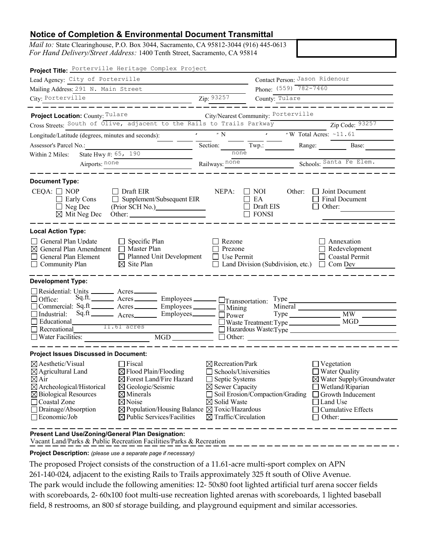## **Notice of Completion & Environmental Document Transmittal**

*Mail to:* State Clearinghouse, P.O. Box 3044, Sacramento, CA 95812-3044 (916) 445-0613 *For Hand Delivery/Street Address:* 1400 Tenth Street, Sacramento, CA 95814

Zip: 93257 Project Location: County: Tulare City/Nearest Community: Porterville South of Olive, adjacent to the Rails to Trails Parkway  $\qquad \qquad \text{Zip Code: } 93257$  $\frac{11.61}{1000}$   $\frac{N}{1000}$   $\frac{N}{1000}$   $\frac{N}{N}$  Total Acres:  $\frac{11.61}{1000}$ none Railways: none 11.61 acres Airports: none Schools: Railways: none Schools: State Hwy #:  $65, 190$ City of Porterville Lead Agency: Contact Person: Mailing Address: 291 N. Main Street Phone: Porterville Tulare City: Zip: County: Phone: (559) 782-7460 Contact Person: Jason Ridenour Project Title: Porterville Heritage Complex Project Schools: Santa Fe Elem. Recreational 11.61 acres **Recreational** Hazardous Waste: Type **Project Location:** County: Tullare **Control** City/Nearest Community: Cross Streets: South of Olive, adjacent to the Rails to Trails Parkway **Example 2** Zip Code: Longitude/Latitude (degrees, minutes and seconds):  $\cdot$   $\cdot$   $\cdot$   $\cdot$   $\cdot$  N Assessor's Parcel No.: Section: Twp.: Twp.: Range: Base: Base: Within 2 Miles: CEQA:  $\Box$  NOP  $\Box$  Draft EIR NEPA:  $\Box$  NOI Other:  $\Box$  Joint Document Early Cons  $\Box$  Supplement/Subsequent EIR  $\Box$  EA  $\Box$  Final Document (Prior SCH No.) interaction in Draft EIS in Draft EIS in Other: **Document Type:** NOP Draft EIR NEPA: NEPA: NOI  $\Box$  EA Neg Dec  $\Box$  Neg Dec (Find SCH No.)  $\Box$   $\Box$  Diant E General Plan Update  $\Box$  Specific Plan  $\Box$  Rezone  $\Box$  Annexation General Plan Amendment  $\Box$  Master Plan  $\Box$  Prezone  $\Box$  Redevelopment General Plan Element D Planned Unit Development D Use Permit Coastal Permit Coastal Permit Community Plan  $\boxtimes$  Site Plan  $\Box$  Land Division (Subdivision, etc.)  $\Box$  Com Dev **Local Action Type:** Master Plan Site Plan Office: Sq.ft. Acres Employees Transportation: Type<br>Commercial: Sq.ft Acres Employees Booking Industrial: Acres Employees Power Type □ Other:  $\square$  Commercial:  $\overline{Sq}.ft$   $\overline{R}$  Acres  $\overline{R}$  Employees  $\overline{R}$  Mining  $\overline{Sq}.ft$  Mineral  $\Box$  Industrial:  $Sq.\hat{t}$  \_\_\_\_\_\_\_\_ Acres \_\_\_\_\_\_\_\_ Employees \_\_\_\_\_\_\_  $\Box$  Pov Waste Treatment: Type Educational MGD □ Type **Development Type:** Residential: Units \_\_\_\_\_\_\_\_ Acres  $\Box$  Residential. Units  $\Box$  Acres MW □ Water Facilities: MGD **Project Issues Discussed in Document:**  $\boxtimes$  Aesthetic/Visual  $\Box$  Fiscal  $\boxtimes$  Recreation/Park  $\Box$  Vegetation  $\boxtimes$  Agricultural Land  $\boxtimes$  Flood Plain/Flooding  $\Box$  Schools/Universities  $\Box$  Water Qual  $\boxtimes$  Agricultural Land  $\boxtimes$  Flood Plain/Flooding  $\Box$  Schools/Universities  $\boxtimes$  Air  $\boxtimes$  Forest Land/Fire Hazard  $\Box$  Septic Systems Air Forest Land/Fire Hazard Septic Systems Water Supply/Groundwater □ ~  $\boxtimes$  Archeological/Historical  $\boxtimes$  Geologic/Seismic  $\boxtimes$  Sewer Capacity  $\Box$  Wetland/Riparian  $\boxtimes$  Biological Resources  $\boxtimes$  Minerals  $\Box$  Soil Erosion/Compaction/Grading  $\Box$  Growth Inducement Biological Resources Minerals Soil Erosion/Compaction/Grading Growth Inducement □  $\Box$  Coastal Zone  $\Box$  Noise  $\Box$  Solid Waste  $\Box$  Drainage/Absorption  $\Box$  Population/Housing Balance  $\Box$  Toxic/Hazard  $\Box$  Drainage/Absorption  $\boxtimes$  Population/Housing Balance  $\boxtimes$  Toxic/Hazardous  $\Box$  Economic/Job  $\boxtimes$  Public Services/Facilities  $\boxtimes$  Traffic/Circulation  $\boxtimes$  Public Services/Facilities  $\boxtimes$  Traffic/Circulation  $\Box$  Office:  ${}^{Sq.ft}$   $\qquad \qquad$  Acres  $\qquad \qquad$  Employees  $\qquad \qquad$   $\Box$  Tra □ Educational<br>□ Recreational □ 는 ' 님. 는 ' 一<br>一· 님 :" ᆸ : 凵・ □  $\frac{\text{Hil.61 acres}}{\text{les:}}$  MGD  $\frac{\Box \text{Haz}}{\Box \text{Oth}}$  $NEPA: \Box NOI$ □ Draft EIS ᆸ : □ Other:  $\Box$  Joint Document<br> $\Box$  Final Document 〓: □  $\Box$  Annexation<br> $\Box$  Redevelopment □ Coastal Permit 〓 > □ □ Water Quality □ Land Use  $\Box$  Cumulative Effects 一 )<br>一 *。* 口 U

Vacant Land/Parks & Public Recreation Facilities/Parks & Recreation **Present Land Use/Zoning/General Plan Designation:**

**Project Description:** *(please use a separate page if necessary)*

The proposed Project consists of the construction of a 11.61-acre multi-sport complex on APN

261-140-024, adjacent to the existing Rails to Trails approximately 325 ft south of Olive Avenue.

The park would include the following amenities: 12- 50x80 foot lighted artificial turf arena soccer fields with scoreboards, 2-  $60x100$  foot multi-use recreation lighted arenas with scoreboards, 1 lighted baseball field, 8 restrooms, an 800 sf storage building, and playground equipment and similar accessories.